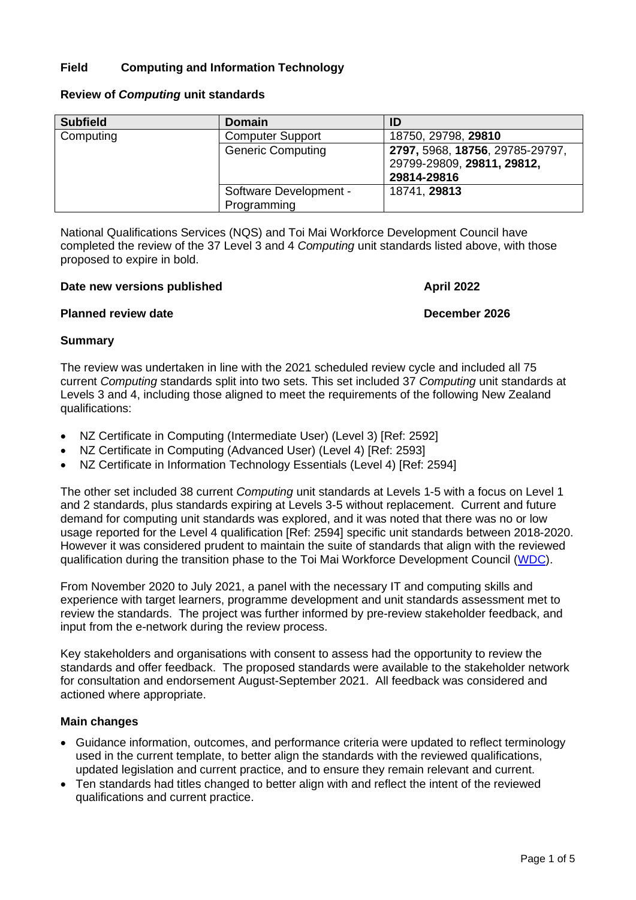# **Field Computing and Information Technology**

| <b>Subfield</b> | <b>Domain</b>            | ID                              |
|-----------------|--------------------------|---------------------------------|
| Computing       | <b>Computer Support</b>  | 18750, 29798, 29810             |
|                 | <b>Generic Computing</b> | 2797, 5968, 18756, 29785-29797, |
|                 |                          | 29799-29809, 29811, 29812,      |
|                 |                          | 29814-29816                     |
|                 | Software Development -   | 18741, 29813                    |
|                 | Programming              |                                 |

# **Review of** *Computing* **unit standards**

National Qualifications Services (NQS) and Toi Mai Workforce Development Council have completed the review of the 37 Level 3 and 4 *Computing* unit standards listed above, with those proposed to expire in bold.

#### **Date new versions published <b>April** 2022

# **Planned review date December 2026**

# **Summary**

The review was undertaken in line with the 2021 scheduled review cycle and included all 75 current *Computing* standards split into two sets. This set included 37 *Computing* unit standards at Levels 3 and 4, including those aligned to meet the requirements of the following New Zealand qualifications:

- NZ Certificate in Computing (Intermediate User) (Level 3) [Ref: 2592]
- NZ Certificate in Computing (Advanced User) (Level 4) [Ref: 2593]
- NZ Certificate in Information Technology Essentials (Level 4) [Ref: 2594]

The other set included 38 current *Computing* unit standards at Levels 1-5 with a focus on Level 1 and 2 standards, plus standards expiring at Levels 3-5 without replacement. Current and future demand for computing unit standards was explored, and it was noted that there was no or low usage reported for the Level 4 qualification [Ref: 2594] specific unit standards between 2018-2020. However it was considered prudent to maintain the suite of standards that align with the reviewed qualification during the transition phase to the Toi Mai Workforce Development Council [\(WDC\)](https://www.tec.govt.nz/rove/workforce-development-councils/creative-cultural-recreation-technology-wdc-ieb/).

From November 2020 to July 2021, a panel with the necessary IT and computing skills and experience with target learners, programme development and unit standards assessment met to review the standards. The project was further informed by pre-review stakeholder feedback, and input from the e-network during the review process.

Key stakeholders and organisations with consent to assess had the opportunity to review the standards and offer feedback. The proposed standards were available to the stakeholder network for consultation and endorsement August-September 2021. All feedback was considered and actioned where appropriate.

# **Main changes**

- Guidance information, outcomes, and performance criteria were updated to reflect terminology used in the current template, to better align the standards with the reviewed qualifications, updated legislation and current practice, and to ensure they remain relevant and current.
- Ten standards had titles changed to better align with and reflect the intent of the reviewed qualifications and current practice.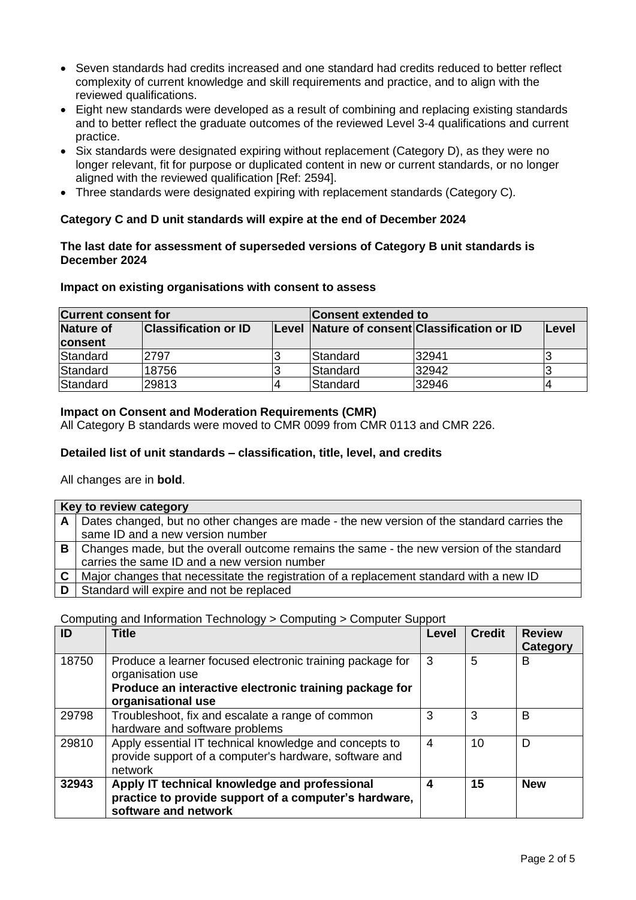- Seven standards had credits increased and one standard had credits reduced to better reflect complexity of current knowledge and skill requirements and practice, and to align with the reviewed qualifications.
- Eight new standards were developed as a result of combining and replacing existing standards and to better reflect the graduate outcomes of the reviewed Level 3-4 qualifications and current practice.
- Six standards were designated expiring without replacement (Category D), as they were no longer relevant, fit for purpose or duplicated content in new or current standards, or no longer aligned with the reviewed qualification [Ref: 2594].
- Three standards were designated expiring with replacement standards (Category C).

# **Category C and D unit standards will expire at the end of December 2024**

# **The last date for assessment of superseded versions of Category B unit standards is December 2024**

# **Impact on existing organisations with consent to assess**

| <b>Current consent for</b> |                             |  | <b>Consent extended to</b>                   |       |              |  |
|----------------------------|-----------------------------|--|----------------------------------------------|-------|--------------|--|
| Nature of                  | <b>Classification or ID</b> |  | Level Nature of consent Classification or ID |       | <b>Level</b> |  |
| <b>consent</b>             |                             |  |                                              |       |              |  |
| Standard                   | 2797                        |  | <b>Standard</b>                              | 32941 |              |  |
| Standard                   | 18756                       |  | Standard                                     | 32942 |              |  |
| Standard                   | 29813                       |  | Standard                                     | 32946 |              |  |

# **Impact on Consent and Moderation Requirements (CMR)**

All Category B standards were moved to CMR 0099 from CMR 0113 and CMR 226.

# **Detailed list of unit standards – classification, title, level, and credits**

All changes are in **bold**.

| Key to review category                                                                                 |
|--------------------------------------------------------------------------------------------------------|
| A   Dates changed, but no other changes are made - the new version of the standard carries the         |
| same ID and a new version number                                                                       |
| B   Changes made, but the overall outcome remains the same - the new version of the standard           |
| carries the same ID and a new version number                                                           |
| $\mathsf{C}$   Major changes that necessitate the registration of a replacement standard with a new ID |
| <b>D</b> Standard will expire and not be replaced                                                      |

# Computing and Information Technology > Computing > Computer Support

| ID    | Title                                                                                                                                                         | Level | <b>Credit</b> | <b>Review</b><br>Category |
|-------|---------------------------------------------------------------------------------------------------------------------------------------------------------------|-------|---------------|---------------------------|
| 18750 | Produce a learner focused electronic training package for<br>organisation use<br>Produce an interactive electronic training package for<br>organisational use | 3     | 5             | B                         |
| 29798 | Troubleshoot, fix and escalate a range of common<br>hardware and software problems                                                                            | 3     | 3             | B                         |
| 29810 | Apply essential IT technical knowledge and concepts to<br>provide support of a computer's hardware, software and<br>network                                   | 4     | 10            | D                         |
| 32943 | Apply IT technical knowledge and professional<br>practice to provide support of a computer's hardware,<br>software and network                                | 4     | 15            | <b>New</b>                |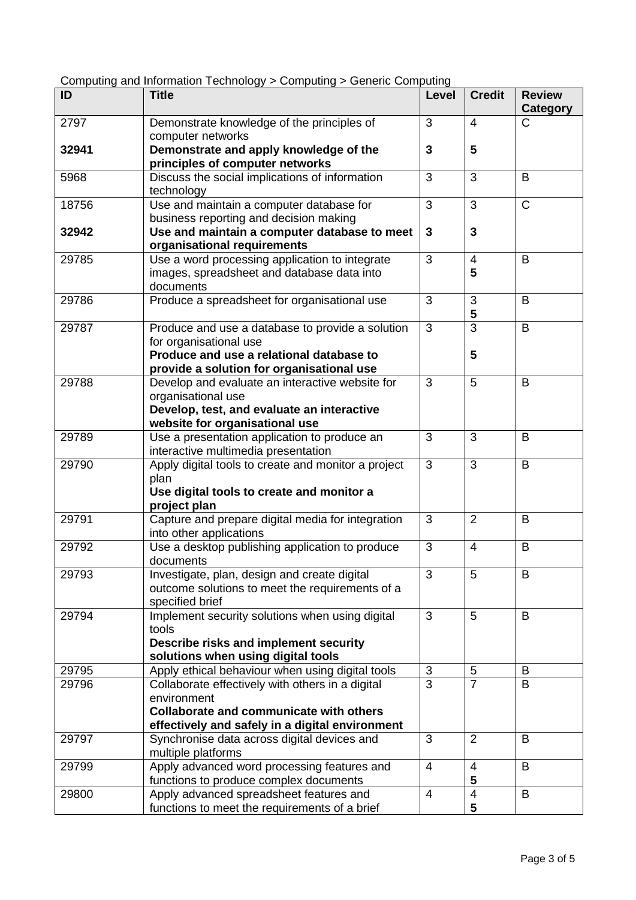| ID    | <b>Title</b>                                                          | Level          | <b>Credit</b>   | <b>Review</b> |
|-------|-----------------------------------------------------------------------|----------------|-----------------|---------------|
| 2797  |                                                                       | 3              | $\overline{4}$  | Category<br>C |
|       | Demonstrate knowledge of the principles of<br>computer networks       |                |                 |               |
| 32941 | Demonstrate and apply knowledge of the                                | 3              | $5\phantom{1}$  |               |
|       | principles of computer networks                                       |                |                 |               |
| 5968  | Discuss the social implications of information                        | 3              | 3               | B             |
|       | technology                                                            |                |                 |               |
| 18756 | Use and maintain a computer database for                              | 3              | 3               | $\mathsf{C}$  |
|       | business reporting and decision making                                |                |                 |               |
| 32942 | Use and maintain a computer database to meet                          | 3              | 3               |               |
|       | organisational requirements                                           |                |                 |               |
| 29785 | Use a word processing application to integrate                        | 3              | $\overline{4}$  | B             |
|       | images, spreadsheet and database data into                            |                | 5               |               |
|       | documents                                                             |                |                 |               |
| 29786 | Produce a spreadsheet for organisational use                          | 3              | 3               | B             |
|       |                                                                       |                | 5               |               |
| 29787 | Produce and use a database to provide a solution                      | 3              | $\overline{3}$  | B             |
|       | for organisational use                                                |                |                 |               |
|       | Produce and use a relational database to                              |                | 5               |               |
| 29788 | provide a solution for organisational use                             | 3              | 5               | B             |
|       | Develop and evaluate an interactive website for<br>organisational use |                |                 |               |
|       | Develop, test, and evaluate an interactive                            |                |                 |               |
|       | website for organisational use                                        |                |                 |               |
| 29789 | Use a presentation application to produce an                          | 3              | 3               | B             |
|       | interactive multimedia presentation                                   |                |                 |               |
| 29790 | Apply digital tools to create and monitor a project                   | 3              | 3               | B             |
|       | plan                                                                  |                |                 |               |
|       | Use digital tools to create and monitor a                             |                |                 |               |
|       | project plan                                                          |                |                 |               |
| 29791 | Capture and prepare digital media for integration                     | 3              | $\overline{2}$  | B             |
|       | into other applications                                               |                |                 |               |
| 29792 | Use a desktop publishing application to produce                       | 3              | $\overline{4}$  | B             |
|       | documents                                                             |                |                 |               |
| 29793 | Investigate, plan, design and create digital                          | 3              | 5               | B             |
|       | outcome solutions to meet the requirements of a                       |                |                 |               |
|       | specified brief                                                       |                |                 |               |
| 29794 | Implement security solutions when using digital<br>tools              | 3              | 5               | B             |
|       | Describe risks and implement security                                 |                |                 |               |
|       | solutions when using digital tools                                    |                |                 |               |
| 29795 | Apply ethical behaviour when using digital tools                      | 3              | 5               | B             |
| 29796 | Collaborate effectively with others in a digital                      | 3              | $\overline{7}$  | B             |
|       | environment                                                           |                |                 |               |
|       | Collaborate and communicate with others                               |                |                 |               |
|       | effectively and safely in a digital environment                       |                |                 |               |
| 29797 | Synchronise data across digital devices and                           | 3              | $\overline{2}$  | B             |
|       | multiple platforms                                                    |                |                 |               |
| 29799 | Apply advanced word processing features and                           | $\overline{4}$ | $\overline{4}$  | B             |
|       | functions to produce complex documents                                |                | 5               |               |
| 29800 | Apply advanced spreadsheet features and                               | $\overline{4}$ | $\overline{4}$  | B             |
|       | functions to meet the requirements of a brief                         |                | $5\phantom{.0}$ |               |

Computing and Information Technology > Computing > Generic Computing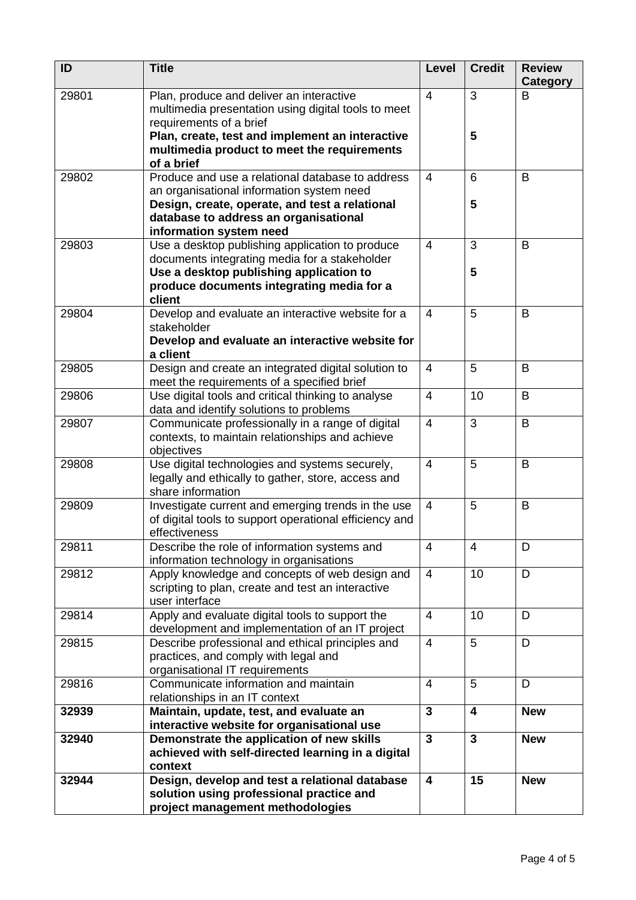| ID    | <b>Title</b>                                                                                                                   | Level                   | <b>Credit</b>           | <b>Review</b><br>Category |
|-------|--------------------------------------------------------------------------------------------------------------------------------|-------------------------|-------------------------|---------------------------|
| 29801 | Plan, produce and deliver an interactive<br>multimedia presentation using digital tools to meet<br>requirements of a brief     | $\overline{4}$          | 3                       | B                         |
|       | Plan, create, test and implement an interactive<br>multimedia product to meet the requirements<br>of a brief                   |                         | $5\phantom{.0}$         |                           |
| 29802 | Produce and use a relational database to address<br>an organisational information system need                                  | $\overline{4}$          | 6                       | B                         |
|       | Design, create, operate, and test a relational<br>database to address an organisational                                        |                         | 5                       |                           |
|       | information system need                                                                                                        |                         |                         |                           |
| 29803 | Use a desktop publishing application to produce                                                                                | $\overline{4}$          | 3                       | B                         |
|       | documents integrating media for a stakeholder<br>Use a desktop publishing application to                                       |                         | 5                       |                           |
|       | produce documents integrating media for a<br>client                                                                            |                         |                         |                           |
| 29804 | Develop and evaluate an interactive website for a                                                                              | $\overline{4}$          | 5                       | B                         |
|       | stakeholder<br>Develop and evaluate an interactive website for<br>a client                                                     |                         |                         |                           |
| 29805 | Design and create an integrated digital solution to<br>meet the requirements of a specified brief                              | 4                       | 5                       | B                         |
| 29806 | Use digital tools and critical thinking to analyse<br>data and identify solutions to problems                                  | $\overline{4}$          | 10                      | B                         |
| 29807 | Communicate professionally in a range of digital<br>contexts, to maintain relationships and achieve<br>objectives              | $\overline{4}$          | 3                       | B                         |
| 29808 | Use digital technologies and systems securely,<br>legally and ethically to gather, store, access and<br>share information      | $\overline{4}$          | 5                       | B                         |
| 29809 | Investigate current and emerging trends in the use<br>of digital tools to support operational efficiency and<br>effectiveness  | $\overline{4}$          | 5                       | B                         |
| 29811 | Describe the role of information systems and<br>information technology in organisations                                        | $\overline{4}$          | $\overline{4}$          | D                         |
| 29812 | Apply knowledge and concepts of web design and<br>scripting to plan, create and test an interactive<br>user interface          | $\overline{4}$          | 10                      | D                         |
| 29814 | Apply and evaluate digital tools to support the<br>development and implementation of an IT project                             | $\overline{4}$          | 10                      | D                         |
| 29815 | Describe professional and ethical principles and<br>practices, and comply with legal and<br>organisational IT requirements     | $\overline{4}$          | 5                       | D                         |
| 29816 | Communicate information and maintain                                                                                           | $\overline{4}$          | 5                       | D                         |
| 32939 | relationships in an IT context<br>Maintain, update, test, and evaluate an                                                      | $\mathbf{3}$            | $\overline{\mathbf{4}}$ | <b>New</b>                |
|       | interactive website for organisational use                                                                                     |                         |                         |                           |
| 32940 | Demonstrate the application of new skills<br>achieved with self-directed learning in a digital<br>context                      | $\mathbf{3}$            | $\mathbf{3}$            | <b>New</b>                |
| 32944 | Design, develop and test a relational database<br>solution using professional practice and<br>project management methodologies | $\overline{\mathbf{4}}$ | 15                      | <b>New</b>                |